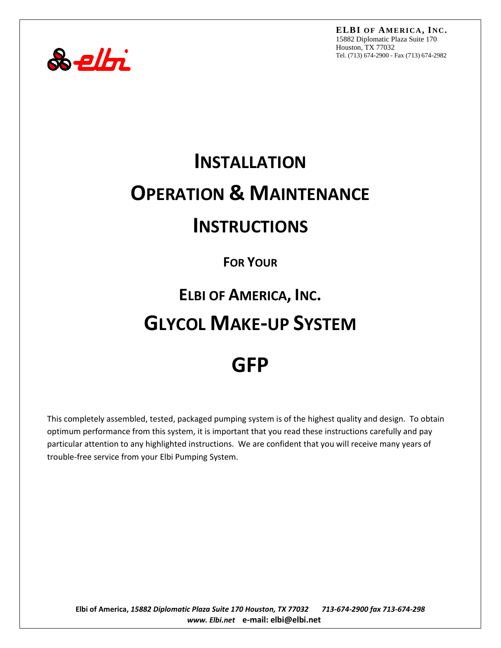



# **INSTALLATION OPERATION & MAINTENANCE INSTRUCTIONS**

### **FOR YOUR**

# **ELBI OF AMERICA, INC. GLYCOL MAKE-UP SYSTEM**

# **GFP**

This completely assembled, tested, packaged pumping system is of the highest quality and design. To obtain optimum performance from this system, it is important that you read these instructions carefully and pay particular attention to any highlighted instructions. We are confident that you will receive many years of trouble-free service from your Elbi Pumping System.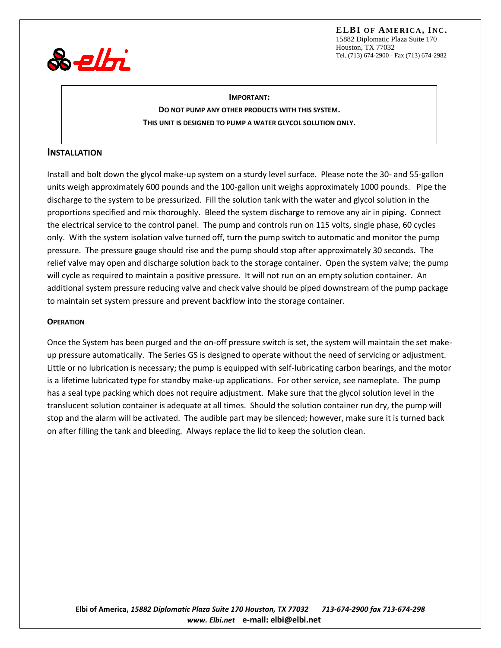**ELBI OF AM ERICA, INC.** 15882 Diplomatic Plaza Suite 170 Houston, TX 77032 Tel. (713) 674-2900 - Fax (713) 674-2982



**IMPORTANT: DO NOT PUMP ANY OTHER PRODUCTS WITH THIS SYSTEM. THIS UNIT IS DESIGNED TO PUMP A WATER GLYCOL SOLUTION ONLY.**

#### **INSTALLATION**

Install and bolt down the glycol make-up system on a sturdy level surface. Please note the 30- and 55-gallon units weigh approximately 600 pounds and the 100-gallon unit weighs approximately 1000 pounds. Pipe the discharge to the system to be pressurized. Fill the solution tank with the water and glycol solution in the proportions specified and mix thoroughly. Bleed the system discharge to remove any air in piping. Connect the electrical service to the control panel. The pump and controls run on 115 volts, single phase, 60 cycles only. With the system isolation valve turned off, turn the pump switch to automatic and monitor the pump pressure. The pressure gauge should rise and the pump should stop after approximately 30 seconds. The relief valve may open and discharge solution back to the storage container. Open the system valve; the pump will cycle as required to maintain a positive pressure. It will not run on an empty solution container. An additional system pressure reducing valve and check valve should be piped downstream of the pump package to maintain set system pressure and prevent backflow into the storage container.

#### **OPERATION**

Once the System has been purged and the on-off pressure switch is set, the system will maintain the set makeup pressure automatically. The Series GS is designed to operate without the need of servicing or adjustment. Little or no lubrication is necessary; the pump is equipped with self-lubricating carbon bearings, and the motor is a lifetime lubricated type for standby make-up applications. For other service, see nameplate. The pump has a seal type packing which does not require adjustment. Make sure that the glycol solution level in the translucent solution container is adequate at all times. Should the solution container run dry, the pump will stop and the alarm will be activated. The audible part may be silenced; however, make sure it is turned back on after filling the tank and bleeding. Always replace the lid to keep the solution clean.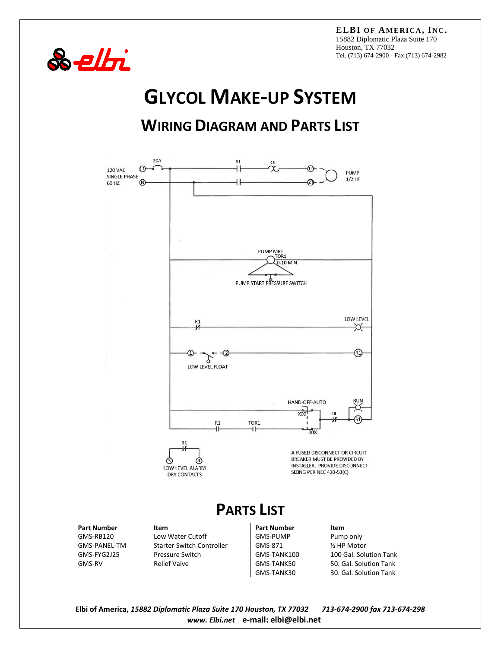**ELBI OF AM ERICA, INC.** 15882 Diplomatic Plaza Suite 170 Houston, TX 77032 Tel. (713) 674-2900 - Fax (713) 674-2982



## **GLYCOL MAKE-UP SYSTEM**

## **WIRING DIAGRAM AND PARTS LIST**



GMS-RB120 Low Water Cutoff GMS-PUMP Pump only Starter Switch Controller GMS-871 1997 12 HP Motor<br>Pressure Switch Controller GMS-TANK100 100 Gal. Solu GMS-FYG2J25 Pressure Switch GMS-TANK100 100 Gal. Solution Tank GMS-RV Relief Valve GMS-TANK50 50. Gal. Solution Tank

GMS-TANK30 30. Gal. Solution Tank